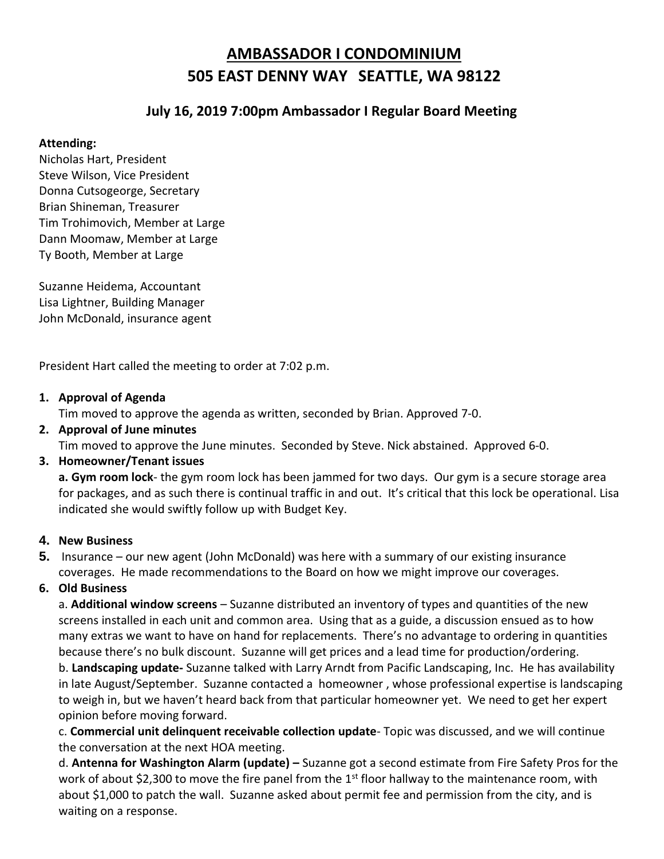# **AMBASSADOR I CONDOMINIUM 505 EAST DENNY WAY SEATTLE, WA 98122**

# **July 16, 2019 7:00pm Ambassador I Regular Board Meeting**

### **Attending:**

Nicholas Hart, President Steve Wilson, Vice President Donna Cutsogeorge, Secretary Brian Shineman, Treasurer Tim Trohimovich, Member at Large Dann Moomaw, Member at Large Ty Booth, Member at Large

Suzanne Heidema, Accountant Lisa Lightner, Building Manager John McDonald, insurance agent

President Hart called the meeting to order at 7:02 p.m.

#### **1. Approval of Agenda**

Tim moved to approve the agenda as written, seconded by Brian. Approved 7-0.

**2. Approval of June minutes**

Tim moved to approve the June minutes. Seconded by Steve. Nick abstained. Approved 6-0.

# **3. Homeowner/Tenant issues**

**a. Gym room lock**- the gym room lock has been jammed for two days. Our gym is a secure storage area for packages, and as such there is continual traffic in and out. It's critical that this lock be operational. Lisa indicated she would swiftly follow up with Budget Key.

# **4. New Business**

**5.** Insurance – our new agent (John McDonald) was here with a summary of our existing insurance coverages. He made recommendations to the Board on how we might improve our coverages.

# **6. Old Business**

a. **Additional window screens** – Suzanne distributed an inventory of types and quantities of the new screens installed in each unit and common area. Using that as a guide, a discussion ensued as to how many extras we want to have on hand for replacements. There's no advantage to ordering in quantities because there's no bulk discount. Suzanne will get prices and a lead time for production/ordering.

b. **Landscaping update-** Suzanne talked with Larry Arndt from Pacific Landscaping, Inc. He has availability in late August/September. Suzanne contacted a homeowner , whose professional expertise is landscaping to weigh in, but we haven't heard back from that particular homeowner yet. We need to get her expert opinion before moving forward.

c. **Commercial unit delinquent receivable collection update**- Topic was discussed, and we will continue the conversation at the next HOA meeting.

d. **Antenna for Washington Alarm (update) –** Suzanne got a second estimate from Fire Safety Pros for the work of about \$2,300 to move the fire panel from the 1st floor hallway to the maintenance room, with about \$1,000 to patch the wall. Suzanne asked about permit fee and permission from the city, and is waiting on a response.